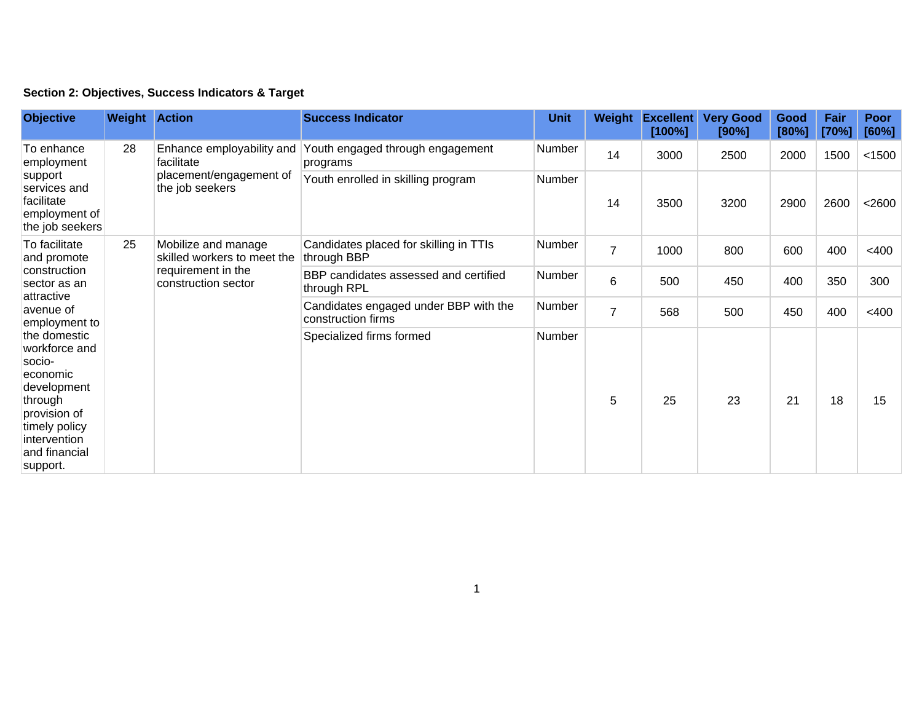|  | Section 2: Objectives, Success Indicators & Target |  |  |  |  |
|--|----------------------------------------------------|--|--|--|--|
|--|----------------------------------------------------|--|--|--|--|

| <b>Objective</b>                                                                                                                                                                                                                                                        | <b>Weight Action</b> |                                                                                                 | <b>Success Indicator</b>                                    | <b>Unit</b> | Weight         | <b>Excellent</b><br>[100%] | <b>Very Good</b><br>[90%] | Good<br>[80%] | Fair<br>[70%] | <b>Poor</b><br>[60%] |
|-------------------------------------------------------------------------------------------------------------------------------------------------------------------------------------------------------------------------------------------------------------------------|----------------------|-------------------------------------------------------------------------------------------------|-------------------------------------------------------------|-------------|----------------|----------------------------|---------------------------|---------------|---------------|----------------------|
| To enhance<br>employment<br>support<br>services and<br>facilitate<br>employment of<br>the job seekers                                                                                                                                                                   | 28                   | Enhance employability and<br>facilitate<br>placement/engagement of<br>the job seekers           | Youth engaged through engagement<br>programs                | Number      | 14             | 3000                       | 2500                      | 2000          | 1500          | < 1500               |
|                                                                                                                                                                                                                                                                         |                      |                                                                                                 | Youth enrolled in skilling program                          | Number      | 14             | 3500                       | 3200                      | 2900          | 2600          | $<$ 2600             |
| To facilitate<br>and promote<br>construction<br>sector as an<br>attractive<br>avenue of<br>employment to<br>the domestic<br>workforce and<br>socio-<br>economic<br>development<br>through<br>provision of<br>timely policy<br>intervention<br>and financial<br>support. | 25                   | Mobilize and manage<br>skilled workers to meet the<br>requirement in the<br>construction sector | Candidates placed for skilling in TTIs<br>through BBP       | Number      | $\overline{7}$ | 1000                       | 800                       | 600           | 400           | $<$ 400              |
|                                                                                                                                                                                                                                                                         |                      |                                                                                                 | BBP candidates assessed and certified<br>through RPL        | Number      | 6              | 500                        | 450                       | 400           | 350           | 300                  |
|                                                                                                                                                                                                                                                                         |                      |                                                                                                 | Candidates engaged under BBP with the<br>construction firms | Number      | 7              | 568                        | 500                       | 450           | 400           | $<$ 400              |
|                                                                                                                                                                                                                                                                         |                      |                                                                                                 | Specialized firms formed                                    | Number      | 5              | 25                         | 23                        | 21            | 18            | 15                   |